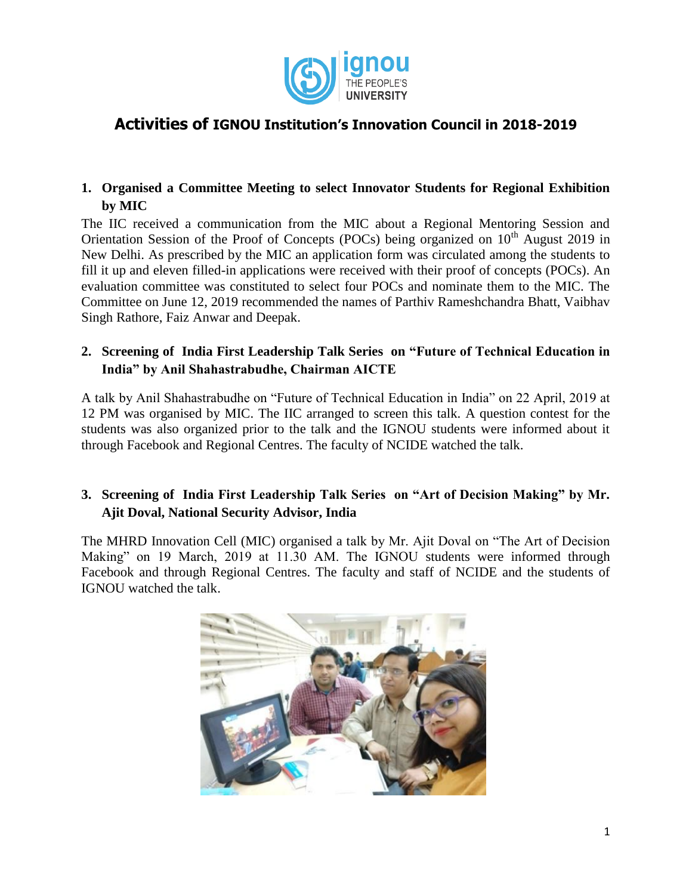

# **Activities of IGNOU Institution's Innovation Council in 2018-2019**

## **1. Organised a Committee Meeting to select Innovator Students for Regional Exhibition by MIC**

The IIC received a communication from the MIC about a Regional Mentoring Session and Orientation Session of the Proof of Concepts (POCs) being organized on  $10<sup>th</sup>$  August 2019 in New Delhi. As prescribed by the MIC an application form was circulated among the students to fill it up and eleven filled-in applications were received with their proof of concepts (POCs). An evaluation committee was constituted to select four POCs and nominate them to the MIC. The Committee on June 12, 2019 recommended the names of Parthiv Rameshchandra Bhatt, Vaibhav Singh Rathore, Faiz Anwar and Deepak.

### **2. Screening of India First Leadership Talk Series on "Future of Technical Education in India" by Anil Shahastrabudhe, Chairman AICTE**

A talk by Anil Shahastrabudhe on "Future of Technical Education in India" on 22 April, 2019 at 12 PM was organised by MIC. The IIC arranged to screen this talk. A question contest for the students was also organized prior to the talk and the IGNOU students were informed about it through Facebook and Regional Centres. The faculty of NCIDE watched the talk.

# **3. Screening of India First Leadership Talk Series on "Art of Decision Making" by Mr. Ajit Doval, National Security Advisor, India**

The MHRD Innovation Cell (MIC) organised a talk by Mr. Ajit Doval on "The Art of Decision Making" on 19 March, 2019 at 11.30 AM. The IGNOU students were informed through Facebook and through Regional Centres. The faculty and staff of NCIDE and the students of IGNOU watched the talk.

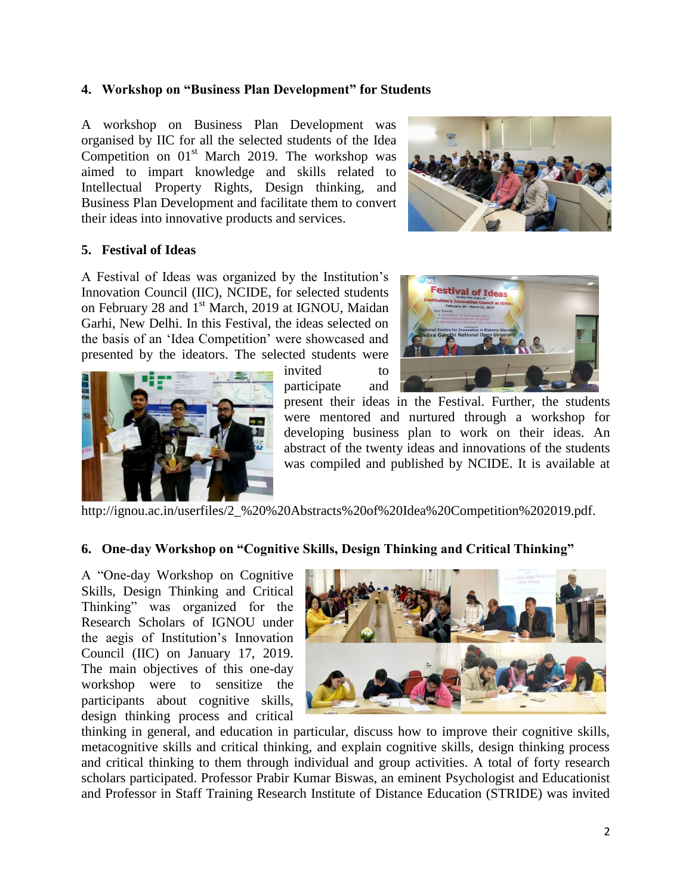#### **4. Workshop on "Business Plan Development" for Students**

A workshop on Business Plan Development was organised by IIC for all the selected students of the Idea Competition on  $01<sup>st</sup>$  March 2019. The workshop was aimed to impart knowledge and skills related to Intellectual Property Rights, Design thinking, and Business Plan Development and facilitate them to convert their ideas into innovative products and services.



#### **5. Festival of Ideas**

A Festival of Ideas was organized by the Institution"s Innovation Council (IIC), NCIDE, for selected students on February 28 and 1<sup>st</sup> March, 2019 at IGNOU, Maidan Garhi, New Delhi. In this Festival, the ideas selected on the basis of an "Idea Competition" were showcased and presented by the ideators. The selected students were



invited to participate and



present their ideas in the Festival. Further, the students were mentored and nurtured through a workshop for developing business plan to work on their ideas. An abstract of the twenty ideas and innovations of the students was compiled and published by NCIDE. It is available at

http://ignou.ac.in/userfiles/2 %20%20Abstracts%20of%20Idea%20Competition%202019.pdf.

#### **6. One-day Workshop on "Cognitive Skills, Design Thinking and Critical Thinking"**

A "One-day Workshop on Cognitive Skills, Design Thinking and Critical Thinking" was organized for the Research Scholars of IGNOU under the aegis of Institution"s Innovation Council (IIC) on January 17, 2019. The main objectives of this one-day workshop were to sensitize the participants about cognitive skills, design thinking process and critical



thinking in general, and education in particular, discuss how to improve their cognitive skills, metacognitive skills and critical thinking, and explain cognitive skills, design thinking process and critical thinking to them through individual and group activities. A total of forty research scholars participated. Professor Prabir Kumar Biswas, an eminent Psychologist and Educationist and Professor in Staff Training Research Institute of Distance Education (STRIDE) was invited